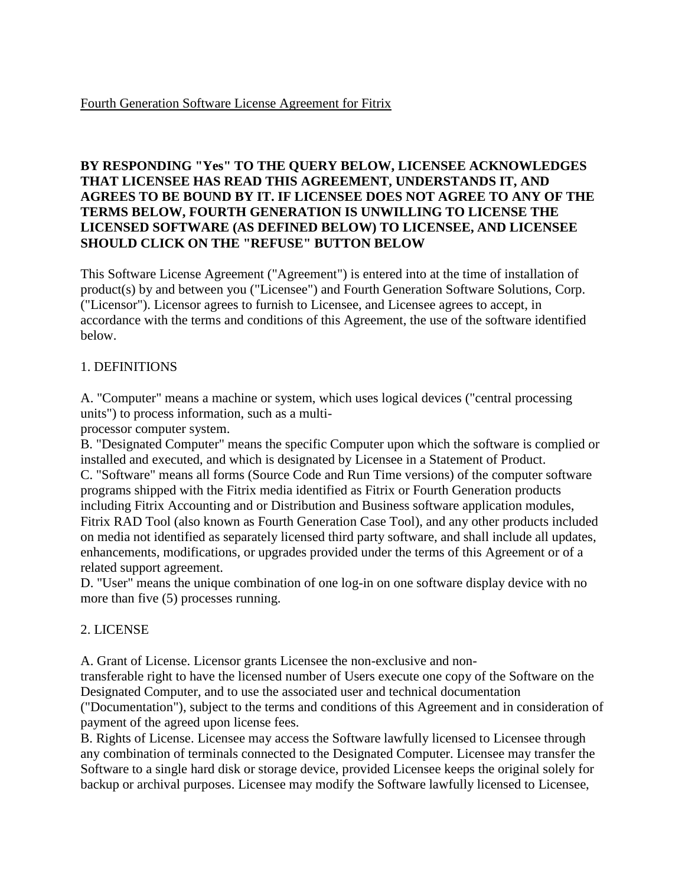### **BY RESPONDING "Yes" TO THE QUERY BELOW, LICENSEE ACKNOWLEDGES THAT LICENSEE HAS READ THIS AGREEMENT, UNDERSTANDS IT, AND AGREES TO BE BOUND BY IT. IF LICENSEE DOES NOT AGREE TO ANY OF THE TERMS BELOW, FOURTH GENERATION IS UNWILLING TO LICENSE THE LICENSED SOFTWARE (AS DEFINED BELOW) TO LICENSEE, AND LICENSEE SHOULD CLICK ON THE "REFUSE" BUTTON BELOW**

This Software License Agreement ("Agreement") is entered into at the time of installation of product(s) by and between you ("Licensee") and Fourth Generation Software Solutions, Corp. ("Licensor"). Licensor agrees to furnish to Licensee, and Licensee agrees to accept, in accordance with the terms and conditions of this Agreement, the use of the software identified below.

## 1. DEFINITIONS

A. "Computer" means a machine or system, which uses logical devices ("central processing units") to process information, such as a multi-

processor computer system.

B. "Designated Computer" means the specific Computer upon which the software is complied or installed and executed, and which is designated by Licensee in a Statement of Product. C. "Software" means all forms (Source Code and Run Time versions) of the computer software programs shipped with the Fitrix media identified as Fitrix or Fourth Generation products including Fitrix Accounting and or Distribution and Business software application modules, Fitrix RAD Tool (also known as Fourth Generation Case Tool), and any other products included on media not identified as separately licensed third party software, and shall include all updates, enhancements, modifications, or upgrades provided under the terms of this Agreement or of a related support agreement.

D. "User" means the unique combination of one log-in on one software display device with no more than five (5) processes running.

# 2. LICENSE

A. Grant of License. Licensor grants Licensee the non-exclusive and non-

transferable right to have the licensed number of Users execute one copy of the Software on the Designated Computer, and to use the associated user and technical documentation ("Documentation"), subject to the terms and conditions of this Agreement and in consideration of payment of the agreed upon license fees.

B. Rights of License. Licensee may access the Software lawfully licensed to Licensee through any combination of terminals connected to the Designated Computer. Licensee may transfer the Software to a single hard disk or storage device, provided Licensee keeps the original solely for backup or archival purposes. Licensee may modify the Software lawfully licensed to Licensee,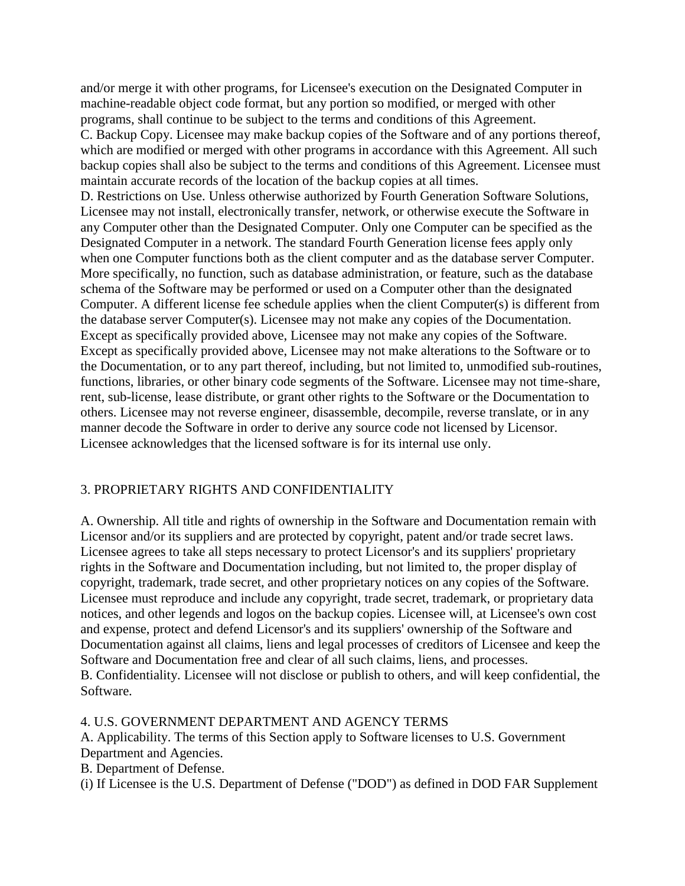and/or merge it with other programs, for Licensee's execution on the Designated Computer in machine-readable object code format, but any portion so modified, or merged with other programs, shall continue to be subject to the terms and conditions of this Agreement. C. Backup Copy. Licensee may make backup copies of the Software and of any portions thereof, which are modified or merged with other programs in accordance with this Agreement. All such backup copies shall also be subject to the terms and conditions of this Agreement. Licensee must maintain accurate records of the location of the backup copies at all times. D. Restrictions on Use. Unless otherwise authorized by Fourth Generation Software Solutions, Licensee may not install, electronically transfer, network, or otherwise execute the Software in any Computer other than the Designated Computer. Only one Computer can be specified as the Designated Computer in a network. The standard Fourth Generation license fees apply only when one Computer functions both as the client computer and as the database server Computer. More specifically, no function, such as database administration, or feature, such as the database schema of the Software may be performed or used on a Computer other than the designated Computer. A different license fee schedule applies when the client Computer(s) is different from the database server Computer(s). Licensee may not make any copies of the Documentation. Except as specifically provided above, Licensee may not make any copies of the Software. Except as specifically provided above, Licensee may not make alterations to the Software or to the Documentation, or to any part thereof, including, but not limited to, unmodified sub-routines, functions, libraries, or other binary code segments of the Software. Licensee may not time-share, rent, sub-license, lease distribute, or grant other rights to the Software or the Documentation to others. Licensee may not reverse engineer, disassemble, decompile, reverse translate, or in any manner decode the Software in order to derive any source code not licensed by Licensor. Licensee acknowledges that the licensed software is for its internal use only.

### 3. PROPRIETARY RIGHTS AND CONFIDENTIALITY

A. Ownership. All title and rights of ownership in the Software and Documentation remain with Licensor and/or its suppliers and are protected by copyright, patent and/or trade secret laws. Licensee agrees to take all steps necessary to protect Licensor's and its suppliers' proprietary rights in the Software and Documentation including, but not limited to, the proper display of copyright, trademark, trade secret, and other proprietary notices on any copies of the Software. Licensee must reproduce and include any copyright, trade secret, trademark, or proprietary data notices, and other legends and logos on the backup copies. Licensee will, at Licensee's own cost and expense, protect and defend Licensor's and its suppliers' ownership of the Software and Documentation against all claims, liens and legal processes of creditors of Licensee and keep the Software and Documentation free and clear of all such claims, liens, and processes. B. Confidentiality. Licensee will not disclose or publish to others, and will keep confidential, the Software.

4. U.S. GOVERNMENT DEPARTMENT AND AGENCY TERMS

A. Applicability. The terms of this Section apply to Software licenses to U.S. Government Department and Agencies.

B. Department of Defense.

(i) If Licensee is the U.S. Department of Defense ("DOD") as defined in DOD FAR Supplement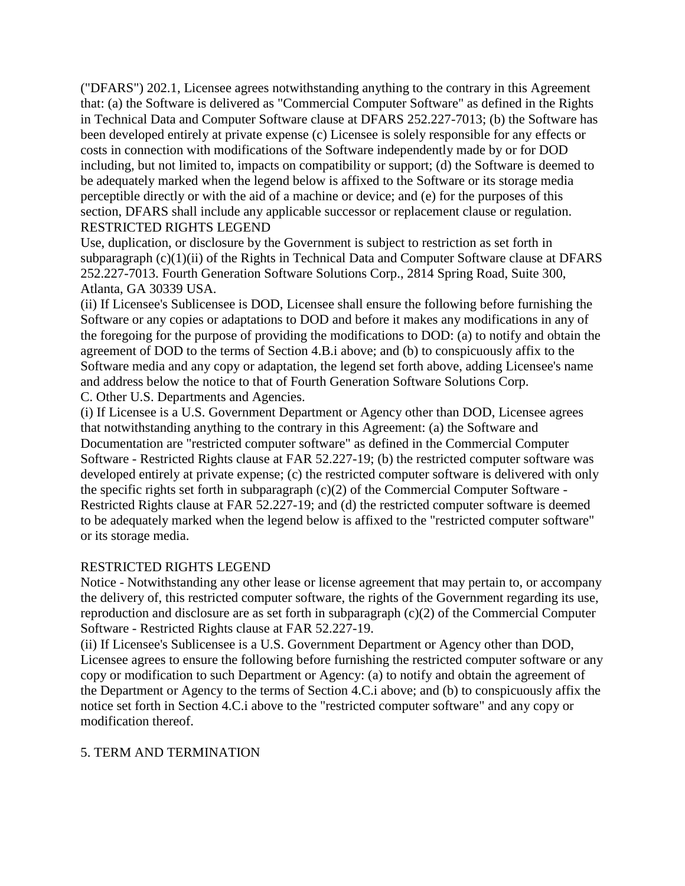("DFARS") 202.1, Licensee agrees notwithstanding anything to the contrary in this Agreement that: (a) the Software is delivered as "Commercial Computer Software" as defined in the Rights in Technical Data and Computer Software clause at DFARS 252.227-7013; (b) the Software has been developed entirely at private expense (c) Licensee is solely responsible for any effects or costs in connection with modifications of the Software independently made by or for DOD including, but not limited to, impacts on compatibility or support; (d) the Software is deemed to be adequately marked when the legend below is affixed to the Software or its storage media perceptible directly or with the aid of a machine or device; and (e) for the purposes of this section, DFARS shall include any applicable successor or replacement clause or regulation. RESTRICTED RIGHTS LEGEND

Use, duplication, or disclosure by the Government is subject to restriction as set forth in subparagraph (c)(1)(ii) of the Rights in Technical Data and Computer Software clause at DFARS 252.227-7013. Fourth Generation Software Solutions Corp., 2814 Spring Road, Suite 300, Atlanta, GA 30339 USA.

(ii) If Licensee's Sublicensee is DOD, Licensee shall ensure the following before furnishing the Software or any copies or adaptations to DOD and before it makes any modifications in any of the foregoing for the purpose of providing the modifications to DOD: (a) to notify and obtain the agreement of DOD to the terms of Section 4.B.i above; and (b) to conspicuously affix to the Software media and any copy or adaptation, the legend set forth above, adding Licensee's name and address below the notice to that of Fourth Generation Software Solutions Corp. C. Other U.S. Departments and Agencies.

(i) If Licensee is a U.S. Government Department or Agency other than DOD, Licensee agrees that notwithstanding anything to the contrary in this Agreement: (a) the Software and Documentation are "restricted computer software" as defined in the Commercial Computer Software - Restricted Rights clause at FAR 52.227-19; (b) the restricted computer software was developed entirely at private expense; (c) the restricted computer software is delivered with only the specific rights set forth in subparagraph (c)(2) of the Commercial Computer Software - Restricted Rights clause at FAR 52.227-19; and (d) the restricted computer software is deemed to be adequately marked when the legend below is affixed to the "restricted computer software" or its storage media.

### RESTRICTED RIGHTS LEGEND

Notice - Notwithstanding any other lease or license agreement that may pertain to, or accompany the delivery of, this restricted computer software, the rights of the Government regarding its use, reproduction and disclosure are as set forth in subparagraph (c)(2) of the Commercial Computer Software - Restricted Rights clause at FAR 52.227-19.

(ii) If Licensee's Sublicensee is a U.S. Government Department or Agency other than DOD, Licensee agrees to ensure the following before furnishing the restricted computer software or any copy or modification to such Department or Agency: (a) to notify and obtain the agreement of the Department or Agency to the terms of Section 4.C.i above; and (b) to conspicuously affix the notice set forth in Section 4.C.i above to the "restricted computer software" and any copy or modification thereof.

### 5. TERM AND TERMINATION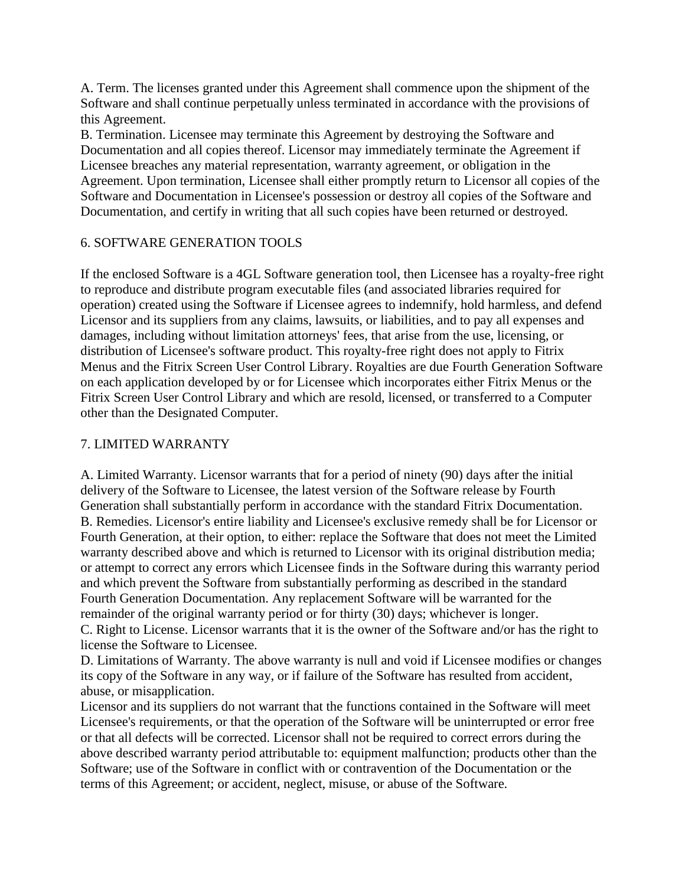A. Term. The licenses granted under this Agreement shall commence upon the shipment of the Software and shall continue perpetually unless terminated in accordance with the provisions of this Agreement.

B. Termination. Licensee may terminate this Agreement by destroying the Software and Documentation and all copies thereof. Licensor may immediately terminate the Agreement if Licensee breaches any material representation, warranty agreement, or obligation in the Agreement. Upon termination, Licensee shall either promptly return to Licensor all copies of the Software and Documentation in Licensee's possession or destroy all copies of the Software and Documentation, and certify in writing that all such copies have been returned or destroyed.

### 6. SOFTWARE GENERATION TOOLS

If the enclosed Software is a 4GL Software generation tool, then Licensee has a royalty-free right to reproduce and distribute program executable files (and associated libraries required for operation) created using the Software if Licensee agrees to indemnify, hold harmless, and defend Licensor and its suppliers from any claims, lawsuits, or liabilities, and to pay all expenses and damages, including without limitation attorneys' fees, that arise from the use, licensing, or distribution of Licensee's software product. This royalty-free right does not apply to Fitrix Menus and the Fitrix Screen User Control Library. Royalties are due Fourth Generation Software on each application developed by or for Licensee which incorporates either Fitrix Menus or the Fitrix Screen User Control Library and which are resold, licensed, or transferred to a Computer other than the Designated Computer.

#### 7. LIMITED WARRANTY

A. Limited Warranty. Licensor warrants that for a period of ninety (90) days after the initial delivery of the Software to Licensee, the latest version of the Software release by Fourth Generation shall substantially perform in accordance with the standard Fitrix Documentation. B. Remedies. Licensor's entire liability and Licensee's exclusive remedy shall be for Licensor or Fourth Generation, at their option, to either: replace the Software that does not meet the Limited warranty described above and which is returned to Licensor with its original distribution media; or attempt to correct any errors which Licensee finds in the Software during this warranty period and which prevent the Software from substantially performing as described in the standard Fourth Generation Documentation. Any replacement Software will be warranted for the remainder of the original warranty period or for thirty (30) days; whichever is longer. C. Right to License. Licensor warrants that it is the owner of the Software and/or has the right to license the Software to Licensee.

D. Limitations of Warranty. The above warranty is null and void if Licensee modifies or changes its copy of the Software in any way, or if failure of the Software has resulted from accident, abuse, or misapplication.

Licensor and its suppliers do not warrant that the functions contained in the Software will meet Licensee's requirements, or that the operation of the Software will be uninterrupted or error free or that all defects will be corrected. Licensor shall not be required to correct errors during the above described warranty period attributable to: equipment malfunction; products other than the Software; use of the Software in conflict with or contravention of the Documentation or the terms of this Agreement; or accident, neglect, misuse, or abuse of the Software.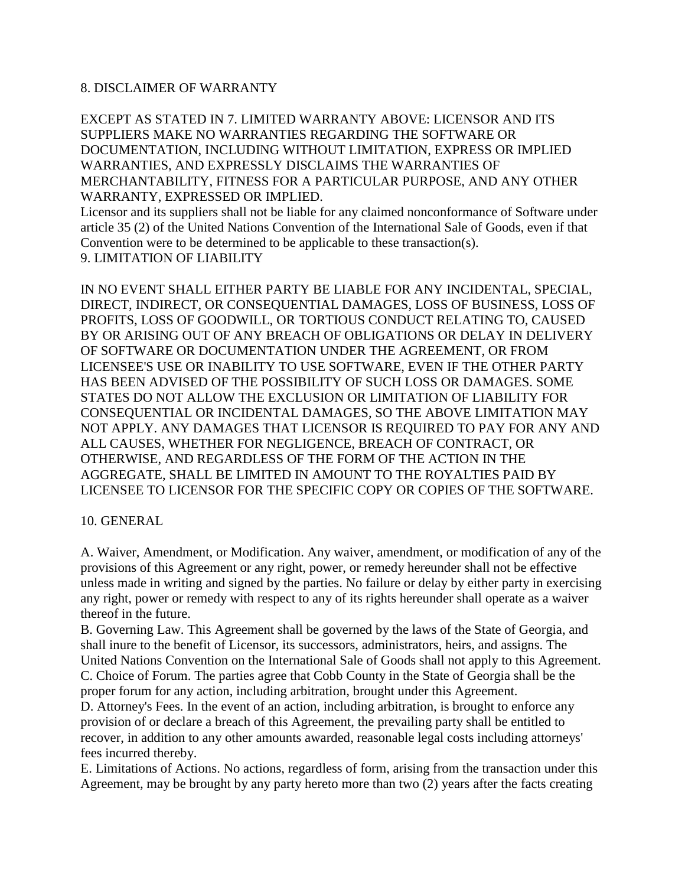#### 8. DISCLAIMER OF WARRANTY

EXCEPT AS STATED IN 7. LIMITED WARRANTY ABOVE: LICENSOR AND ITS SUPPLIERS MAKE NO WARRANTIES REGARDING THE SOFTWARE OR DOCUMENTATION, INCLUDING WITHOUT LIMITATION, EXPRESS OR IMPLIED WARRANTIES, AND EXPRESSLY DISCLAIMS THE WARRANTIES OF MERCHANTABILITY, FITNESS FOR A PARTICULAR PURPOSE, AND ANY OTHER WARRANTY, EXPRESSED OR IMPLIED.

Licensor and its suppliers shall not be liable for any claimed nonconformance of Software under article 35 (2) of the United Nations Convention of the International Sale of Goods, even if that Convention were to be determined to be applicable to these transaction(s). 9. LIMITATION OF LIABILITY

IN NO EVENT SHALL EITHER PARTY BE LIABLE FOR ANY INCIDENTAL, SPECIAL, DIRECT, INDIRECT, OR CONSEQUENTIAL DAMAGES, LOSS OF BUSINESS, LOSS OF PROFITS, LOSS OF GOODWILL, OR TORTIOUS CONDUCT RELATING TO, CAUSED BY OR ARISING OUT OF ANY BREACH OF OBLIGATIONS OR DELAY IN DELIVERY OF SOFTWARE OR DOCUMENTATION UNDER THE AGREEMENT, OR FROM LICENSEE'S USE OR INABILITY TO USE SOFTWARE, EVEN IF THE OTHER PARTY HAS BEEN ADVISED OF THE POSSIBILITY OF SUCH LOSS OR DAMAGES. SOME STATES DO NOT ALLOW THE EXCLUSION OR LIMITATION OF LIABILITY FOR CONSEQUENTIAL OR INCIDENTAL DAMAGES, SO THE ABOVE LIMITATION MAY NOT APPLY. ANY DAMAGES THAT LICENSOR IS REQUIRED TO PAY FOR ANY AND ALL CAUSES, WHETHER FOR NEGLIGENCE, BREACH OF CONTRACT, OR OTHERWISE, AND REGARDLESS OF THE FORM OF THE ACTION IN THE AGGREGATE, SHALL BE LIMITED IN AMOUNT TO THE ROYALTIES PAID BY LICENSEE TO LICENSOR FOR THE SPECIFIC COPY OR COPIES OF THE SOFTWARE.

10. GENERAL

A. Waiver, Amendment, or Modification. Any waiver, amendment, or modification of any of the provisions of this Agreement or any right, power, or remedy hereunder shall not be effective unless made in writing and signed by the parties. No failure or delay by either party in exercising any right, power or remedy with respect to any of its rights hereunder shall operate as a waiver thereof in the future.

B. Governing Law. This Agreement shall be governed by the laws of the State of Georgia, and shall inure to the benefit of Licensor, its successors, administrators, heirs, and assigns. The United Nations Convention on the International Sale of Goods shall not apply to this Agreement. C. Choice of Forum. The parties agree that Cobb County in the State of Georgia shall be the proper forum for any action, including arbitration, brought under this Agreement.

D. Attorney's Fees. In the event of an action, including arbitration, is brought to enforce any provision of or declare a breach of this Agreement, the prevailing party shall be entitled to recover, in addition to any other amounts awarded, reasonable legal costs including attorneys' fees incurred thereby.

E. Limitations of Actions. No actions, regardless of form, arising from the transaction under this Agreement, may be brought by any party hereto more than two (2) years after the facts creating